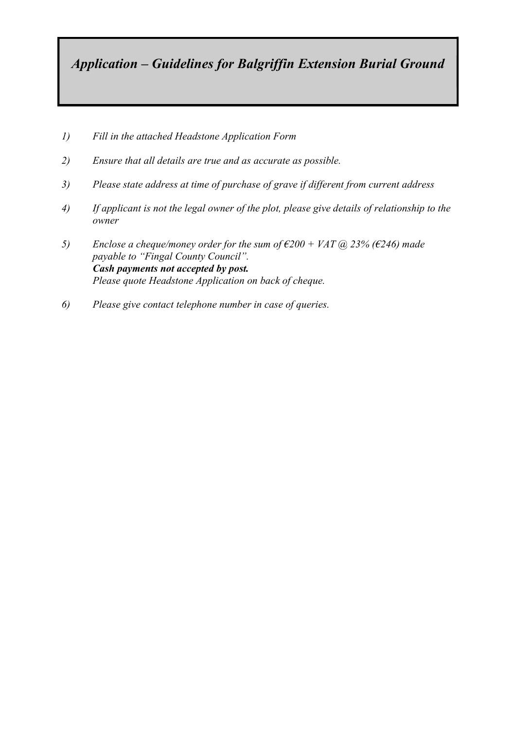Application – Guidelines for Balgriffin Extension Burial Ground

- 1) Fill in the attached Headstone Application Form
- 2) Ensure that all details are true and as accurate as possible.
- 3) Please state address at time of purchase of grave if different from current address
- 4) If applicant is not the legal owner of the plot, please give details of relationship to the owner
- 5) Enclose a cheque/money order for the sum of  $\epsilon$ 200 + VAT (a) 23% ( $\epsilon$ 246) made payable to "Fingal County Council". Cash payments not accepted by post. Please quote Headstone Application on back of cheque.
- 6) Please give contact telephone number in case of queries.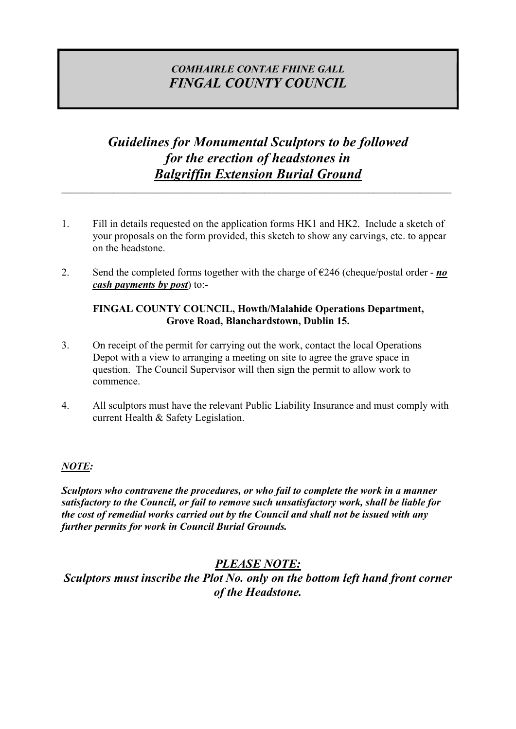## COMHAIRLE CONTAE FHINE GALL FINGAL COUNTY COUNCIL

## Guidelines for Monumental Sculptors to be followed for the erection of headstones in Balgriffin Extension Burial Ground

- 1. Fill in details requested on the application forms HK1 and HK2. Include a sketch of your proposals on the form provided, this sketch to show any carvings, etc. to appear on the headstone.
- 2. Send the completed forms together with the charge of  $\epsilon$ 246 (cheque/postal order *no* cash payments by post) to:-

#### FINGAL COUNTY COUNCIL, Howth/Malahide Operations Department, Grove Road, Blanchardstown, Dublin 15.

- 3. On receipt of the permit for carrying out the work, contact the local Operations Depot with a view to arranging a meeting on site to agree the grave space in question. The Council Supervisor will then sign the permit to allow work to commence.
- 4. All sculptors must have the relevant Public Liability Insurance and must comply with current Health & Safety Legislation.

#### NOTE:

Sculptors who contravene the procedures, or who fail to complete the work in a manner satisfactory to the Council, or fail to remove such unsatisfactory work, shall be liable for the cost of remedial works carried out by the Council and shall not be issued with any further permits for work in Council Burial Grounds.

## PLEASE NOTE:

Sculptors must inscribe the Plot No. only on the bottom left hand front corner of the Headstone.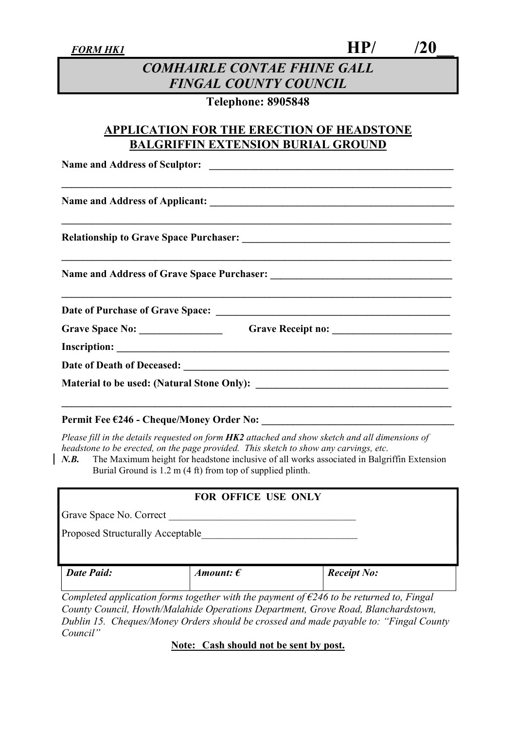$F$ ORM HK1  $\left| \text{HP} \right|$  /20\_

## COMHAIRLE CONTAE FHINE GALL FINGAL COUNTY COUNCIL

### Telephone: 8905848

### APPLICATION FOR THE ERECTION OF HEADSTONE BALGRIFFIN EXTENSION BURIAL GROUND

\_\_\_\_\_\_\_\_\_\_\_\_\_\_\_\_\_\_\_\_\_\_\_\_\_\_\_\_\_\_\_\_\_\_\_\_\_\_\_\_\_\_\_\_\_\_\_\_\_\_\_\_\_\_\_\_\_\_\_\_\_\_\_\_\_\_\_\_\_\_\_\_\_\_\_

\_\_\_\_\_\_\_\_\_\_\_\_\_\_\_\_\_\_\_\_\_\_\_\_\_\_\_\_\_\_\_\_\_\_\_\_\_\_\_\_\_\_\_\_\_\_\_\_\_\_\_\_\_\_\_\_\_\_\_\_\_\_\_\_\_\_\_\_\_\_\_\_\_\_\_

\_\_\_\_\_\_\_\_\_\_\_\_\_\_\_\_\_\_\_\_\_\_\_\_\_\_\_\_\_\_\_\_\_\_\_\_\_\_\_\_\_\_\_\_\_\_\_\_\_\_\_\_\_\_\_\_\_\_\_\_\_\_\_\_\_\_\_\_\_\_\_\_\_\_\_

\_\_\_\_\_\_\_\_\_\_\_\_\_\_\_\_\_\_\_\_\_\_\_\_\_\_\_\_\_\_\_\_\_\_\_\_\_\_\_\_\_\_\_\_\_\_\_\_\_\_\_\_\_\_\_\_\_\_\_\_\_\_\_\_\_\_\_\_\_\_\_\_\_\_\_

Name and Address of Sculptor: \_\_\_\_\_\_\_\_\_\_\_\_\_\_\_\_\_\_\_\_\_\_\_\_\_\_\_\_\_\_\_\_\_\_\_\_\_\_\_\_\_\_\_\_\_\_\_

Name and Address of Applicant: \_\_\_\_\_\_\_\_\_\_\_\_\_\_\_\_\_\_\_\_\_\_\_\_\_\_\_\_\_\_\_\_\_\_\_\_\_\_\_\_\_\_\_\_\_\_\_

Relationship to Grave Space Purchaser: \_\_\_\_\_\_\_\_\_\_\_\_\_\_\_\_\_\_\_\_\_\_\_\_\_\_\_\_\_\_\_\_\_\_\_\_\_\_\_\_

Name and Address of Grave Space Purchaser: \_\_\_\_\_\_\_\_\_\_\_\_\_\_\_\_\_\_\_\_\_\_\_\_\_\_\_\_\_\_\_\_\_\_\_

Date of Purchase of Grave Space: \_\_\_\_\_\_\_\_\_\_\_\_\_\_\_\_\_\_\_\_\_\_\_\_\_\_\_\_\_\_\_\_\_\_\_\_\_\_\_\_\_\_\_\_\_

Grave Space No: Grave Receipt no:

Inscription: \_\_\_\_\_\_\_\_\_\_\_\_\_\_\_\_\_\_\_\_\_\_\_\_\_\_\_\_\_\_\_\_\_\_\_\_\_\_\_\_\_\_\_\_\_\_\_\_\_\_\_\_\_\_\_\_\_\_\_\_\_\_\_\_

Date of Death of Deceased:

Material to be used: (Natural Stone Only): \_\_\_\_\_\_\_\_\_\_\_\_\_\_\_\_\_\_\_\_\_\_\_\_\_\_\_\_\_\_\_\_\_\_\_\_\_

#### Permit Fee €246 - Cheque/Money Order No:

Please fill in the details requested on form  $HK2$  attached and show sketch and all dimensions of headstone to be erected, on the page provided. This sketch to show any carvings, etc.

N.B. The Maximum height for headstone inclusive of all works associated in Balgriffin Extension Burial Ground is 1.2 m (4 ft) from top of supplied plinth.

 $\mathcal{L}_\text{max} = \frac{1}{2} \sum_{i=1}^n \mathcal{L}_\text{max}(\mathbf{z}_i - \mathbf{z}_i)$ 

#### FOR OFFICE USE ONLY

| Grave Space No. Correct                 |                    |                                                                                                   |
|-----------------------------------------|--------------------|---------------------------------------------------------------------------------------------------|
| <b>Proposed Structurally Acceptable</b> |                    |                                                                                                   |
|                                         |                    |                                                                                                   |
| <b>Date Paid:</b>                       | Amount: $\epsilon$ | <b>Receipt No:</b>                                                                                |
|                                         |                    | Completed application forms together with the payment of $\epsilon$ 246 to be returned to, Fingal |

County Council, Howth/Malahide Operations Department, Grove Road, Blanchardstown, Dublin 15. Cheques/Money Orders should be crossed and made payable to: "Fingal County Council"

Note: Cash should not be sent by post.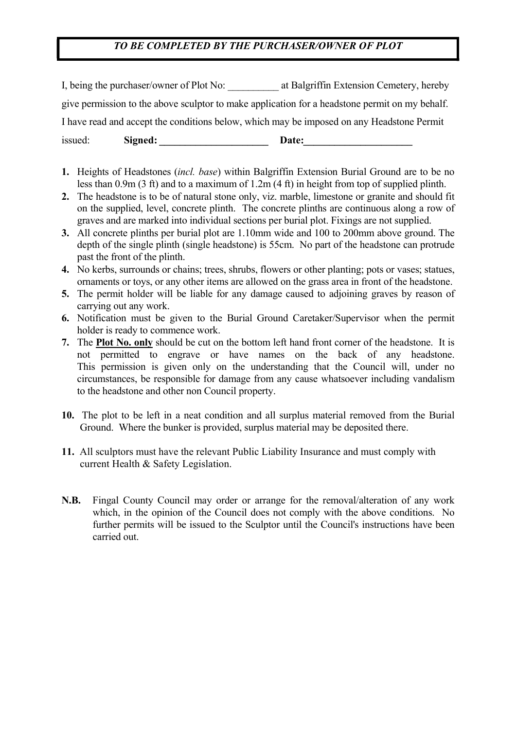### TO BE COMPLETED BY THE PURCHASER/OWNER OF PLOT

I, being the purchaser/owner of Plot No: <br>at Balgriffin Extension Cemetery, hereby give permission to the above sculptor to make application for a headstone permit on my behalf. I have read and accept the conditions below, which may be imposed on any Headstone Permit issued: Signed: Date:

- 1. Heights of Headstones (incl. base) within Balgriffin Extension Burial Ground are to be no less than 0.9m (3 ft) and to a maximum of 1.2m (4 ft) in height from top of supplied plinth.
- 2. The headstone is to be of natural stone only, viz. marble, limestone or granite and should fit on the supplied, level, concrete plinth. The concrete plinths are continuous along a row of graves and are marked into individual sections per burial plot. Fixings are not supplied.
- 3. All concrete plinths per burial plot are 1.10mm wide and 100 to 200mm above ground. The depth of the single plinth (single headstone) is 55cm. No part of the headstone can protrude past the front of the plinth.
- 4. No kerbs, surrounds or chains; trees, shrubs, flowers or other planting; pots or vases; statues, ornaments or toys, or any other items are allowed on the grass area in front of the headstone.
- 5. The permit holder will be liable for any damage caused to adjoining graves by reason of carrying out any work.
- 6. Notification must be given to the Burial Ground Caretaker/Supervisor when the permit holder is ready to commence work.
- 7. The Plot No. only should be cut on the bottom left hand front corner of the headstone. It is not permitted to engrave or have names on the back of any headstone. This permission is given only on the understanding that the Council will, under no circumstances, be responsible for damage from any cause whatsoever including vandalism to the headstone and other non Council property.
- 10. The plot to be left in a neat condition and all surplus material removed from the Burial Ground. Where the bunker is provided, surplus material may be deposited there.
- 11. All sculptors must have the relevant Public Liability Insurance and must comply with current Health & Safety Legislation.
- N.B. Fingal County Council may order or arrange for the removal/alteration of any work which, in the opinion of the Council does not comply with the above conditions. No further permits will be issued to the Sculptor until the Council's instructions have been carried out.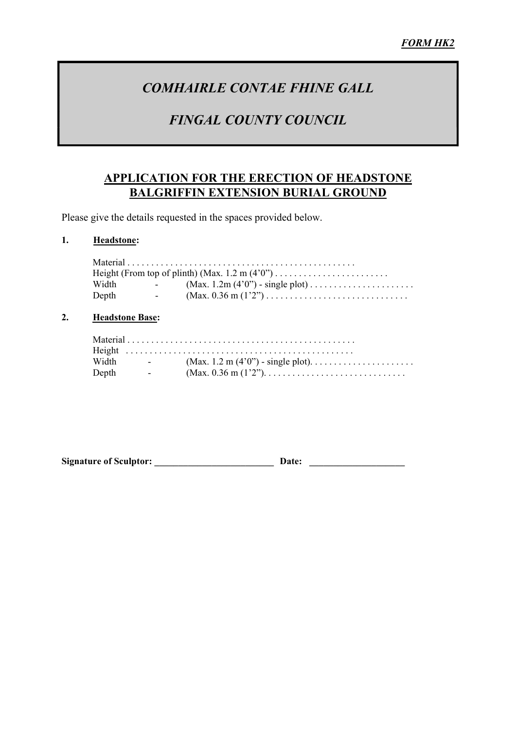# COMHAIRLE CONTAE FHINE GALL

# FINGAL COUNTY COUNCIL

### APPLICATION FOR THE ERECTION OF HEADSTONE BALGRIFFIN EXTENSION BURIAL GROUND

Please give the details requested in the spaces provided below.

#### 1. Headstone:

|       |            | Height (From top of plinth) (Max. $1.2 \text{ m} (4'0'') \dots \dots \dots \dots \dots \dots \dots$ |
|-------|------------|-----------------------------------------------------------------------------------------------------|
| Width |            | $(Max. 1.2m (4'0'') - single plot) \dots \dots \dots \dots \dots \dots$                             |
| Depth | $\sim 100$ |                                                                                                     |
|       |            |                                                                                                     |

#### 2. Headstone Base:

| Width | <b>Service</b>           |  |
|-------|--------------------------|--|
| Depth | <b>Contract Contract</b> |  |

Signature of Sculptor: \_\_\_\_\_\_\_\_\_\_\_\_\_\_\_\_\_\_\_\_\_\_\_\_\_ Date: \_\_\_\_\_\_\_\_\_\_\_\_\_\_\_\_\_\_\_\_